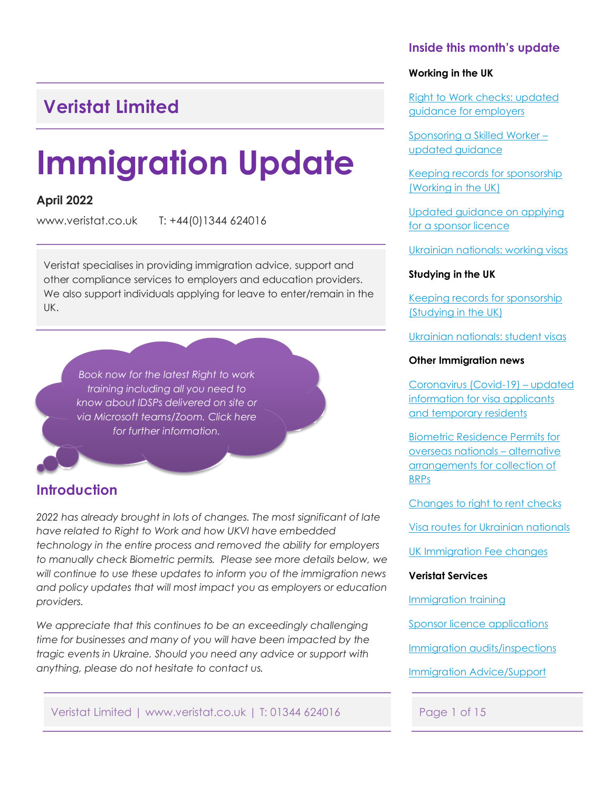# <span id="page-0-0"></span>**Veristat Limited**

# **Immigration Update**

### **April 2022**

www.veristat.co.uk T: +44(0)1344 624016

Veristat specialises in providing immigration advice, support and other compliance services to employers and education providers. We also support individuals applying for leave to enter/remain in the UK.

*Book now for the latest Right to work training including all you need to know about IDSPs delivered on site or [via Microsoft teams/Zoom. Click here](#page-12-0) for further information.*

## **Introduction**

*2022 has already brought in lots of changes. The most significant of late have related to Right to Work and how UKVI have embedded technology in the entire process and removed the ability for employers to manually check Biometric permits. Please see more details below, we will continue to use these updates to inform you of the immigration news and policy updates that will most impact you as employers or education providers.* 

*We appreciate that this continues to be an exceedingly challenging time for businesses and many of you will have been impacted by the tragic events in Ukraine. Should you need any advice or support with anything, please do not hesitate to contact us.*

Veristat Limited | www.veristat.co.uk | T: 01344 624016 Page 1 of 15

#### **Inside this month's update**

#### **Working in the UK**

[Right to Work checks: updated](#page-1-0)  guidance for employers

[Sponsoring a Skilled Worker –](#page-3-0) updated guidance

[Keeping records for sponsorship](#page-4-0)  (Working in the UK)

[Updated guidance on applying](#page-4-0)  for a sponsor licence

[Ukrainian nationals: working visas](#page-4-0)

#### **Studying in the UK**

[Keeping records for sponsorship](#page-8-0)  (Studying in the UK)

[Ukrainian nationals: student visas](#page-8-0)

#### **Other Immigration news**

Coronavirus (Covid-19) – updated [information for visa applicants](#page-10-0)  and temporary residents

Biometric Residence Permits for overseas nationals – alternative [arrangements for collection of](#page-10-0)  BRPs

[Changes to right to rent checks](#page-9-0)

[Visa routes for Ukrainian nationals](#page-9-0)

[UK Immigration Fee changes](#page-12-0)

#### **Veristat Services**

[Immigration](#page-12-0) training

[Sponsor licence applications](#page-12-0)

Immigration [audits/inspections](#page-13-0)

[Immigration Advice/Support](#page-14-0)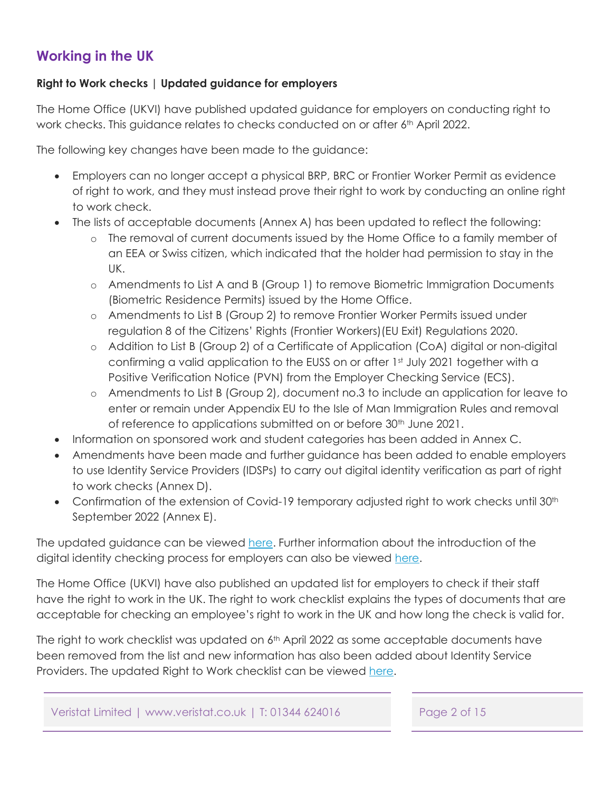# <span id="page-1-0"></span>**Working in the UK**

#### **Right to Work checks | Updated guidance for employers**

The Home Office (UKVI) have published updated guidance for employers on conducting right to work checks. This guidance relates to checks conducted on or after 6th April 2022.

The following key changes have been made to the guidance:

- Employers can no longer accept a physical BRP, BRC or Frontier Worker Permit as evidence of right to work, and they must instead prove their right to work by conducting an online right to work check.
- The lists of acceptable documents (Annex A) has been updated to reflect the following:
	- o The removal of current documents issued by the Home Office to a family member of an EEA or Swiss citizen, which indicated that the holder had permission to stay in the UK.
	- o Amendments to List A and B (Group 1) to remove Biometric Immigration Documents (Biometric Residence Permits) issued by the Home Office.
	- o Amendments to List B (Group 2) to remove Frontier Worker Permits issued under regulation 8 of the Citizens' Rights (Frontier Workers)(EU Exit) Regulations 2020.
	- o Addition to List B (Group 2) of a Certificate of Application (CoA) digital or non-digital confirming a valid application to the EUSS on or after 1st July 2021 together with a Positive Verification Notice (PVN) from the Employer Checking Service (ECS).
	- o Amendments to List B (Group 2), document no.3 to include an application for leave to enter or remain under Appendix EU to the Isle of Man Immigration Rules and removal of reference to applications submitted on or before 30<sup>th</sup> June 2021.
- Information on sponsored work and student categories has been added in Annex C.
- Amendments have been made and further guidance has been added to enable employers to use Identity Service Providers (IDSPs) to carry out digital identity verification as part of right to work checks (Annex D).
- Confirmation of the extension of Covid-19 temporary adjusted right to work checks until 30<sup>th</sup> September 2022 (Annex E).

The updated guidance can be viewe[d here. F](https://www.gov.uk/government/news/new-digital-identity-checking-for-landlords-and-employers-to-tackle-immigration-abuse)urther information about the introduction of the digital identity checking process for employers can also be viewed here.

The Home Office (UKVI) have also published an updated list for employers to check if their staff have the right to work in the UK. The right to work checklist explains the types of documents that are acceptable for checking an employee's right to work in the UK and how long the check is valid for.

The right to work checklist was updated on 6<sup>th</sup> April 2022 as some acceptable documents have been removed from the list and new information has also been added about Identity Service Providers. The updated Right to Work checklist can be viewed [here.](https://www.gov.uk/government/publications/right-to-work-checklist)

Veristat Limited | www.veristat.co.uk | T: 01344 624016 Page 2 of 15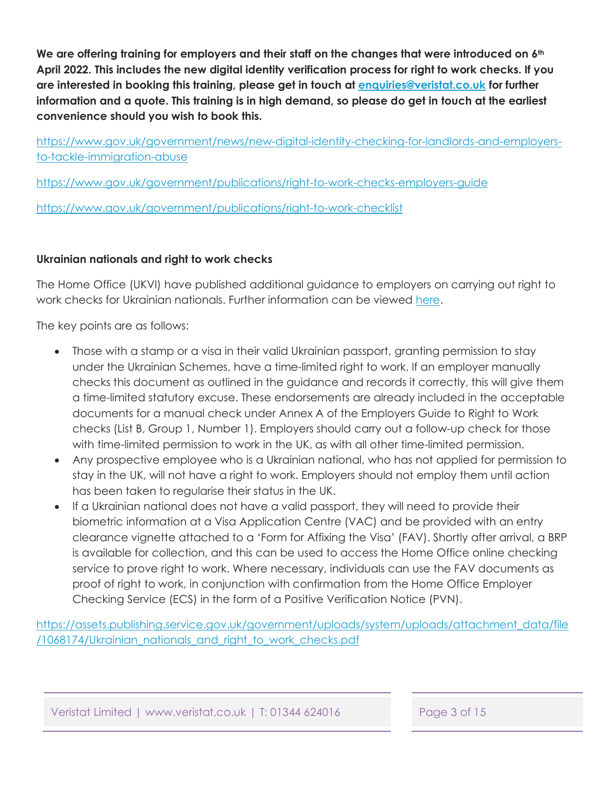**We are offering training for employers and their staff on the changes that were introduced on 6th April 2022. This includes the new digital identity verification process for right to work checks. If you are interested in booking this training, please get in touch at enquiries@veristat.co.uk for further information and a quote. This training is in high demand, so please do get in touch at the earliest convenience should you wish to book this.**

[https://www.gov.uk/government/news/new-digital-identity-checking-for-landlords-and-employers](https://www.gov.uk/government/news/new-digital-identity-checking-for-landlords-and-employers-to-tackle-immigration-abuse)to-tackle-immigration-abuse

<https://www.gov.uk/government/publications/right-to-work-checks-employers-guide>

<https://www.gov.uk/government/publications/right-to-work-checklist>

### **Ukrainian nationals and right to work checks**

The Home Office (UKVI) have published additional guidance to employers on carrying out right to work checks for Ukrainian nationals. Further information can be viewed [here.](https://assets.publishing.service.gov.uk/government/uploads/system/uploads/attachment_data/file/1068174/Ukrainian_nationals_and_right_to_work_checks.pdf)

The key points are as follows:

- Those with a stamp or a visa in their valid Ukrainian passport, granting permission to stay under the Ukrainian Schemes, have a time-limited right to work. If an employer manually checks this document as outlined in the guidance and records it correctly, this will give them a time-limited statutory excuse. These endorsements are already included in the acceptable documents for a manual check under Annex A of the Employers Guide to Right to Work checks (List B, Group 1, Number 1). Employers should carry out a follow-up check for those with time-limited permission to work in the UK, as with all other time-limited permission.
- Any prospective employee who is a Ukrainian national, who has not applied for permission to stay in the UK, will not have a right to work. Employers should not employ them until action has been taken to regularise their status in the UK.
- If a Ukrainian national does not have a valid passport, they will need to provide their biometric information at a Visa Application Centre (VAC) and be provided with an entry clearance vignette attached to a 'Form for Affixing the Visa' (FAV). Shortly after arrival, a BRP is available for collection, and this can be used to access the Home Office online checking service to prove right to work. Where necessary, individuals can use the FAV documents as proof of right to work, in conjunction with confirmation from the Home Office Employer Checking Service (ECS) in the form of a Positive Verification Notice (PVN).

[https://assets.publishing.service.gov.uk/government/uploads/system/uploads/attachment\\_data/file](https://assets.publishing.service.gov.uk/government/uploads/system/uploads/attachment_data/file/1068174/Ukrainian_nationals_and_right_to_work_checks.pdf) /1068174/Ukrainian\_nationals\_and\_right\_to\_work\_checks.pdf

Veristat Limited | www.veristat.co.uk | T: 01344 624016 Page 3 of 15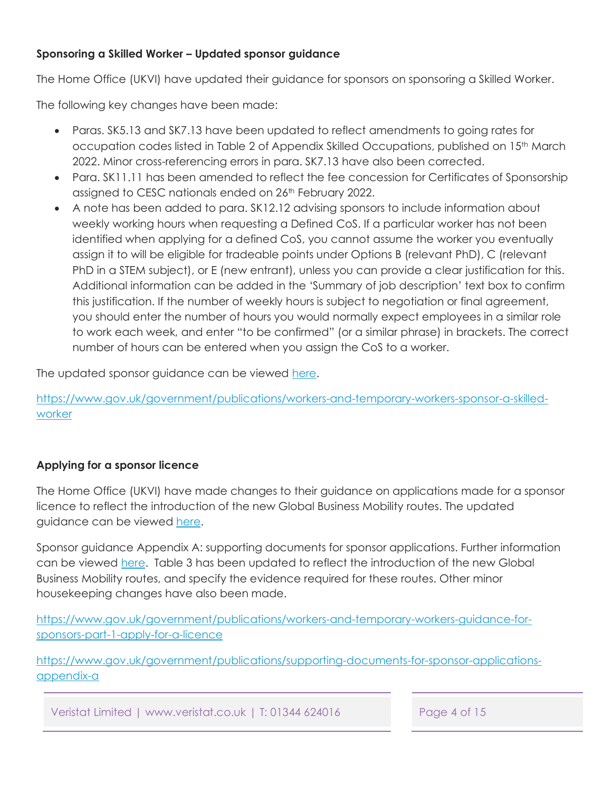#### <span id="page-3-0"></span>**Sponsoring a Skilled Worker – Updated sponsor guidance**

The Home Office (UKVI) have updated their guidance for sponsors on sponsoring a Skilled Worker.

The following key changes have been made:

- Paras. SK5.13 and SK7.13 have been updated to reflect amendments to going rates for occupation codes listed in Table 2 of Appendix Skilled Occupations, published on 15<sup>th</sup> March 2022. Minor cross-referencing errors in para. SK7.13 have also been corrected.
- Para, SK11.11 has been amended to reflect the fee concession for Certificates of Sponsorship assigned to CESC nationals ended on 26<sup>th</sup> February 2022.
- A note has been added to para. SK12.12 advising sponsors to include information about weekly working hours when requesting a Defined CoS. If a particular worker has not been identified when applying for a defined CoS, you cannot assume the worker you eventually assign it to will be eligible for tradeable points under Options B (relevant PhD), C (relevant PhD in a STEM subject), or E (new entrant), unless you can provide a clear justification for this. Additional information can be added in the 'Summary of job description' text box to confirm this justification. If the number of weekly hours is subject to negotiation or final agreement, you should enter the number of hours you would normally expect employees in a similar role to work each week, and enter "to be confirmed" (or a similar phrase) in brackets. The correct number of hours can be entered when you assign the CoS to a worker.

The updated sponsor guidance can be viewed [here.](https://www.gov.uk/government/publications/workers-and-temporary-workers-sponsor-a-skilled-worker)

[https://www.gov.uk/government/publications/workers-and-temporary-workers-sponsor-a-skilled](https://www.gov.uk/government/publications/workers-and-temporary-workers-sponsor-a-skilled-worker)**worker** 

### **Applying for a sponsor licence**

The Home Office (UKVI) have made changes to their guidance on applications made for a sponsor licence to reflect the introduction of the new Global Business Mobility routes. The updated guidance can be viewed here.

Sponsor guidance Appendix A: supporting documents for sponsor applications. Further information can be viewed [here.](https://www.gov.uk/government/publications/supporting-documents-for-sponsor-applications-appendix-a) Table 3 has been updated to reflect the introduction of the new Global Business Mobility routes, and specify the evidence required for these routes. Other minor housekeeping changes have also been made.

[https://www.gov.uk/government/publications/workers-and-temporary-workers-guidance-for](https://www.gov.uk/government/publications/workers-and-temporary-workers-guidance-for-sponsors-part-1-apply-for-a-licence)sponsors-part-1-apply-for-a-licence

[https://www.gov.uk/government/publications/supporting-documents-for-sponsor-applications](https://www.gov.uk/government/publications/supporting-documents-for-sponsor-applications-appendix-a)appendix-a

Veristat Limited | www.veristat.co.uk | T: 01344 624016 Page 4 of 15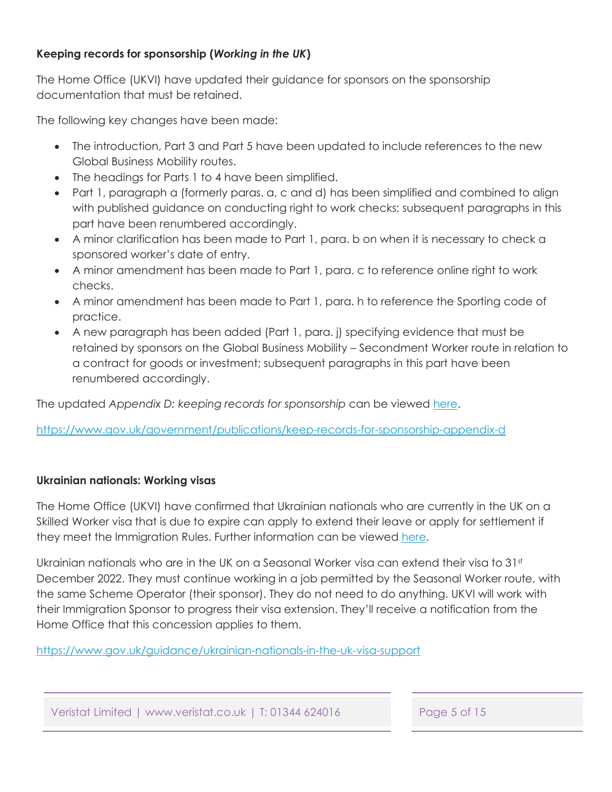### <span id="page-4-0"></span>**Keeping records for sponsorship (***Working in the UK***)**

The Home Office (UKVI) have updated their guidance for sponsors on the sponsorship documentation that must be retained.

The following key changes have been made:

- The introduction, Part 3 and Part 5 have been updated to include references to the new Global Business Mobility routes.
- The headings for Parts 1 to 4 have been simplified.
- Part 1, paragraph a (formerly paras. a, c and d) has been simplified and combined to align with published guidance on conducting right to work checks; subsequent paragraphs in this part have been renumbered accordingly.
- A minor clarification has been made to Part 1, para. b on when it is necessary to check a sponsored worker's date of entry.
- A minor amendment has been made to Part 1, para. c to reference online right to work checks.
- A minor amendment has been made to Part 1, para. h to reference the Sporting code of practice.
- A new paragraph has been added (Part 1, para. j) specifying evidence that must be retained by sponsors on the Global Business Mobility – Secondment Worker route in relation to a contract for goods or investment; subsequent paragraphs in this part have been renumbered accordingly.

The updated *Appendix D: keeping records for sponsorship* can be viewed [here.](https://www.gov.uk/government/publications/keep-records-for-sponsorship-appendix-d)

<https://www.gov.uk/government/publications/keep-records-for-sponsorship-appendix-d>

### **Ukrainian nationals: Working visas**

The Home Office (UKVI) have confirmed that Ukrainian nationals who are currently in the UK on a Skilled Worker visa that is due to expire can apply to extend their leave or apply for settlement if they meet the Immigration Rules. Further information can be viewed [here.](https://www.gov.uk/guidance/ukrainian-nationals-in-the-uk-visa-support) 

Ukrainian nationals who are in the UK on a Seasonal Worker visa can extend their visa to  $31<sup>st</sup>$ December 2022. They must continue working in a job permitted by the Seasonal Worker route, with the same Scheme Operator (their sponsor). They do not need to do anything. UKVI will work with their Immigration Sponsor to progress their visa extension. They'll receive a notification from the Home Office that this concession applies to them.

<https://www.gov.uk/guidance/ukrainian-nationals-in-the-uk-visa-support>

Veristat Limited | www.veristat.co.uk | T: 01344 624016 Page 5 of 15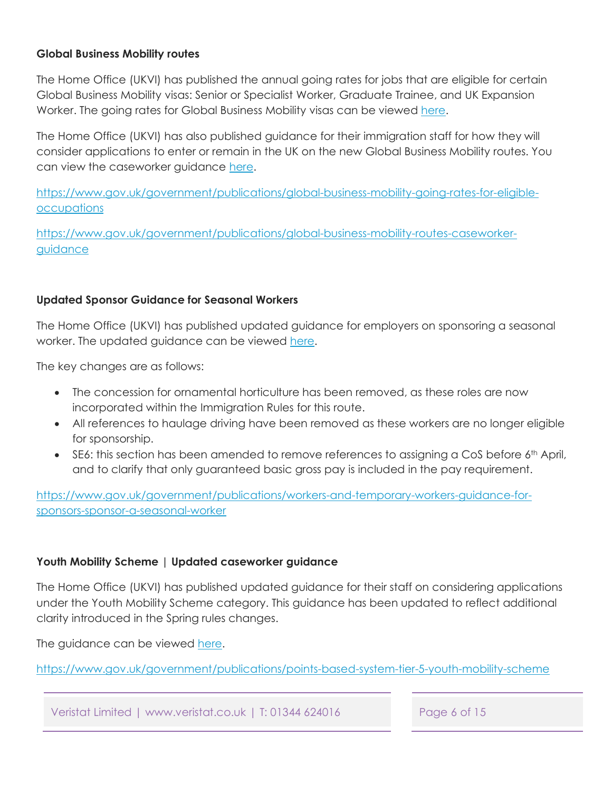#### **Global Business Mobility routes**

The Home Office (UKVI) has published the annual going rates for jobs that are eligible for certain Global Business Mobility visas: Senior or Specialist Worker, Graduate Trainee, and UK Expansion Worker. The going rates for Global Business Mobility visas can be viewed [here.](https://www.gov.uk/government/publications/global-business-mobility-going-rates-for-eligible-occupations) 

The Home Office (UKVI) has also published guidance for their immigration staff for how they will consider applications to enter or remain in the UK on the new Global Business Mobility routes. You can view the caseworker guidance here.

[https://www.gov.uk/government/publications/global-business-mobility-going-rates-for-eligible](https://www.gov.uk/government/publications/global-business-mobility-going-rates-for-eligible-occupations)**occupations** 

[https://www.gov.uk/government/publications/global-business-mobility-routes-caseworker](https://www.gov.uk/government/publications/global-business-mobility-routes-caseworker-guidance)guidance

#### **Updated Sponsor Guidance for Seasonal Workers**

The Home Office (UKVI) has published updated guidance for employers on sponsoring a seasonal worker. The updated guidance can be viewed [here.](https://www.gov.uk/government/publications/workers-and-temporary-workers-guidance-for-sponsors-sponsor-a-seasonal-worker)

The key changes are as follows:

- The concession for ornamental horticulture has been removed, as these roles are now incorporated within the Immigration Rules for this route.
- All references to haulage driving have been removed as these workers are no longer eligible for sponsorship.
- SE6: this section has been amended to remove references to assigning a CoS before 6<sup>th</sup> April, and to clarify that only guaranteed basic gross pay is included in the pay requirement.

[https://www.gov.uk/government/publications/workers-and-temporary-workers-guidance-for](https://www.gov.uk/government/publications/workers-and-temporary-workers-guidance-for-sponsors-sponsor-a-seasonal-worker)sponsors-sponsor-a-seasonal-worker

### **Youth Mobility Scheme | Updated caseworker guidance**

The Home Office (UKVI) has published updated guidance for their staff on considering applications under the Youth Mobility Scheme category. This guidance has been updated to reflect additional clarity introduced in the Spring rules changes.

The guidance can be viewed [here.](https://www.gov.uk/government/publications/points-based-system-tier-5-youth-mobility-scheme) 

<https://www.gov.uk/government/publications/points-based-system-tier-5-youth-mobility-scheme>

Veristat Limited | www.veristat.co.uk | T: 01344 624016 Page 6 of 15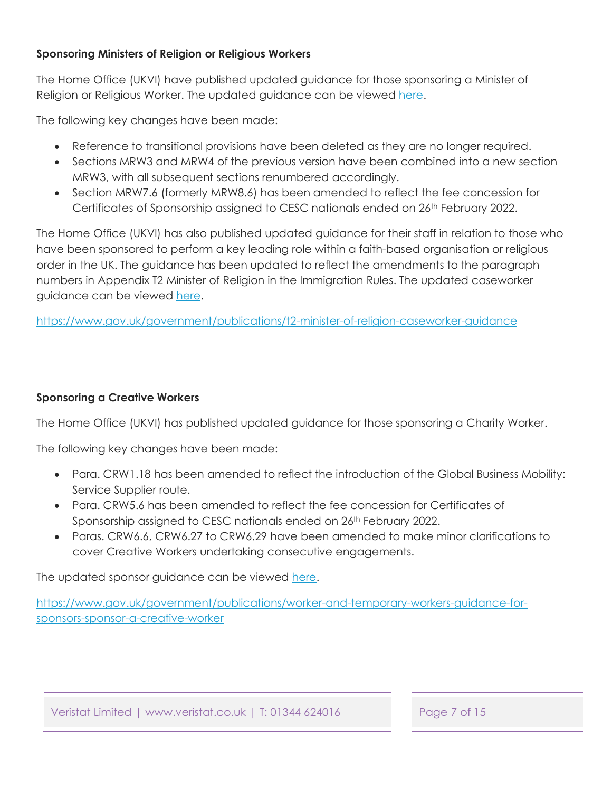#### **Sponsoring Ministers of Religion or Religious Workers**

The Home Office (UKVI) have published updated guidance for those sponsoring a Minister of Religion or Religious Worker. The updated guidance can be viewed [here.](https://www.gov.uk/government/publications/workers-and-temporary-workers-guidance-for-sponsors-sponsor-a-minister-of-religion-or-religious-worker)

The following key changes have been made:

- Reference to transitional provisions have been deleted as they are no longer required.
- Sections MRW3 and MRW4 of the previous version have been combined into a new section MRW3, with all subsequent sections renumbered accordingly.
- Section MRW7.6 (formerly MRW8.6) has been amended to reflect the fee concession for Certificates of Sponsorship assigned to CESC nationals ended on 26<sup>th</sup> February 2022.

The Home Office (UKVI) has also published updated guidance for their staff in relation to those who have been sponsored to perform a key leading role within a faith-based organisation or religious order in the UK. The guidance has been updated to reflect the amendments to the paragraph numbers in Appendix T2 Minister of Religion in the Immigration Rules. The updated caseworker guidance can be viewed [here.](https://www.gov.uk/government/publications/t2-minister-of-religion-caseworker-guidance)

<https://www.gov.uk/government/publications/t2-minister-of-religion-caseworker-guidance>

#### **Sponsoring a Creative Workers**

The Home Office (UKVI) has published updated guidance for those sponsoring a Charity Worker.

The following key changes have been made:

- Para. CRW1.18 has been amended to reflect the introduction of the Global Business Mobility: Service Supplier route.
- Para. CRW5.6 has been amended to reflect the fee concession for Certificates of Sponsorship assigned to CESC nationals ended on 26<sup>th</sup> February 2022.
- Paras. CRW6.6, CRW6.27 to CRW6.29 have been amended to make minor clarifications to cover Creative Workers undertaking consecutive engagements.

The updated sponsor guidance can be viewed [here.](https://www.gov.uk/government/publications/worker-and-temporary-workers-guidance-for-sponsors-sponsor-a-creative-worker)

[https://www.gov.uk/government/publications/worker-and-temporary-workers-guidance-for](https://www.gov.uk/government/publications/worker-and-temporary-workers-guidance-for-sponsors-sponsor-a-creative-worker)sponsors-sponsor-a-creative-worker

Veristat Limited | www.veristat.co.uk | T: 01344 624016 Page 7 of 15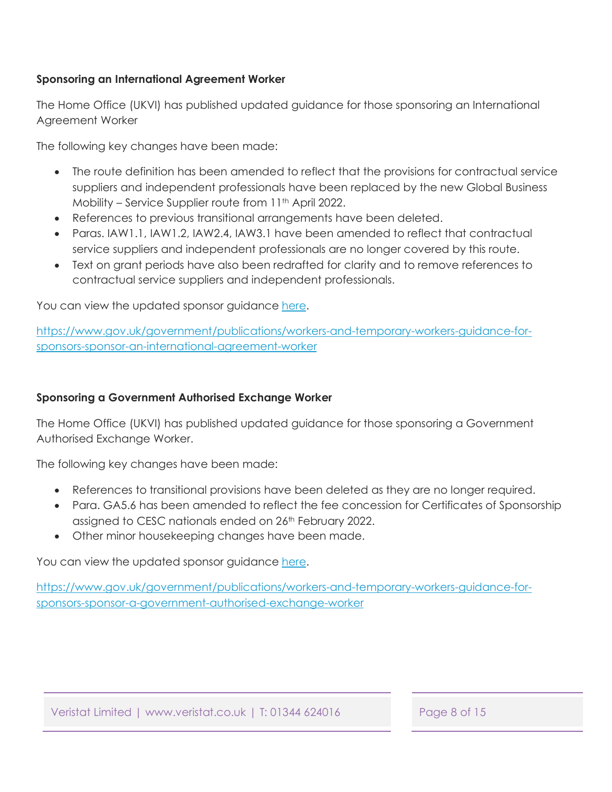#### **Sponsoring an International Agreement Worker**

The Home Office (UKVI) has published updated guidance for those sponsoring an International Agreement Worker

The following key changes have been made:

- The route definition has been amended to reflect that the provisions for contractual service suppliers and independent professionals have been replaced by the new Global Business Mobility – Service Supplier route from 11<sup>th</sup> April 2022.
- References to previous transitional arrangements have been deleted.
- Paras. IAW1.1, IAW1.2, IAW2.4, IAW3.1 have been amended to reflect that contractual service suppliers and independent professionals are no longer covered by this route.
- Text on grant periods have also been redrafted for clarity and to remove references to contractual service suppliers and independent professionals.

You can view the updated sponsor guidanc[e here.](https://www.gov.uk/government/publications/workers-and-temporary-workers-guidance-for-sponsors-sponsor-an-international-agreement-worker)

[https://www.gov.uk/government/publications/workers-and-temporary-workers-guidance-for](https://www.gov.uk/government/publications/workers-and-temporary-workers-guidance-for-sponsors-sponsor-an-international-agreement-worker)sponsors-sponsor-an-international-agreement-worker

#### **Sponsoring a Government Authorised Exchange Worker**

The Home Office (UKVI) has published updated guidance for those sponsoring a Government Authorised Exchange Worker.

The following key changes have been made:

- References to transitional provisions have been deleted as they are no longer required.
- Para. GA5.6 has been amended to reflect the fee concession for Certificates of Sponsorship assigned to CESC nationals ended on 26<sup>th</sup> February 2022.
- Other minor housekeeping changes have been made.

You can view the updated sponsor guidance [here.](https://www.gov.uk/government/publications/workers-and-temporary-workers-guidance-for-sponsors-sponsor-a-government-authorised-exchange-worker)

[https://www.gov.uk/government/publications/workers-and-temporary-workers-guidance-for](https://www.gov.uk/government/publications/workers-and-temporary-workers-guidance-for-sponsors-sponsor-a-government-authorised-exchange-worker)sponsors-sponsor-a-government-authorised-exchange-worker

Veristat Limited | www.veristat.co.uk | T: 01344 624016 Page 8 of 15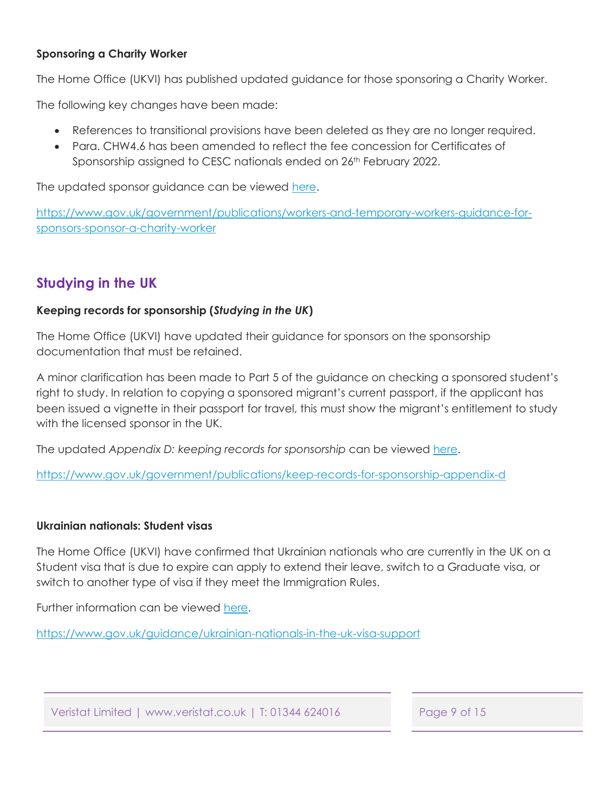#### <span id="page-8-0"></span>**Sponsoring a Charity Worker**

The Home Office (UKVI) has published updated guidance for those sponsoring a Charity Worker.

The following key changes have been made:

- References to transitional provisions have been deleted as they are no longer required.
- Para. CHW4.6 has been amended to reflect the fee concession for Certificates of Sponsorship assigned to CESC nationals ended on 26th February 2022.

The updated sponsor guidance can be viewe[d here.](https://www.gov.uk/government/publications/workers-and-temporary-workers-guidance-for-sponsors-sponsor-a-charity-worker) 

[https://www.gov.uk/government/publications/workers-and-temporary-workers-guidance-for](https://www.gov.uk/government/publications/workers-and-temporary-workers-guidance-for-sponsors-sponsor-a-charity-worker)sponsors-sponsor-a-charity-worker

# **Studying in the UK**

#### **Keeping records for sponsorship (***Studying in the UK***)**

The Home Office (UKVI) have updated their guidance for sponsors on the sponsorship documentation that must be retained.

A minor clarification has been made to Part 5 of the guidance on checking a sponsored student's right to study. In relation to copying a sponsored migrant's current passport, if the applicant has been issued a vignette in their passport for travel, this must show the migrant's entitlement to study with the licensed sponsor in the UK.

The updated *Appendix D: keeping records for sponsorship* can be viewed [here.](https://www.gov.uk/government/publications/keep-records-for-sponsorship-appendix-d)

<https://www.gov.uk/government/publications/keep-records-for-sponsorship-appendix-d>

#### **Ukrainian nationals: Student visas**

The Home Office (UKVI) have confirmed that Ukrainian nationals who are currently in the UK on a Student visa that is due to expire can apply to extend their leave, switch to a Graduate visa, or switch to another type of visa if they meet the Immigration Rules.

Further information can be viewed [here.](https://www.gov.uk/guidance/ukrainian-nationals-in-the-uk-visa-support) 

<https://www.gov.uk/guidance/ukrainian-nationals-in-the-uk-visa-support>

Veristat Limited | www.veristat.co.uk | T: 01344 624016 Page 9 of 15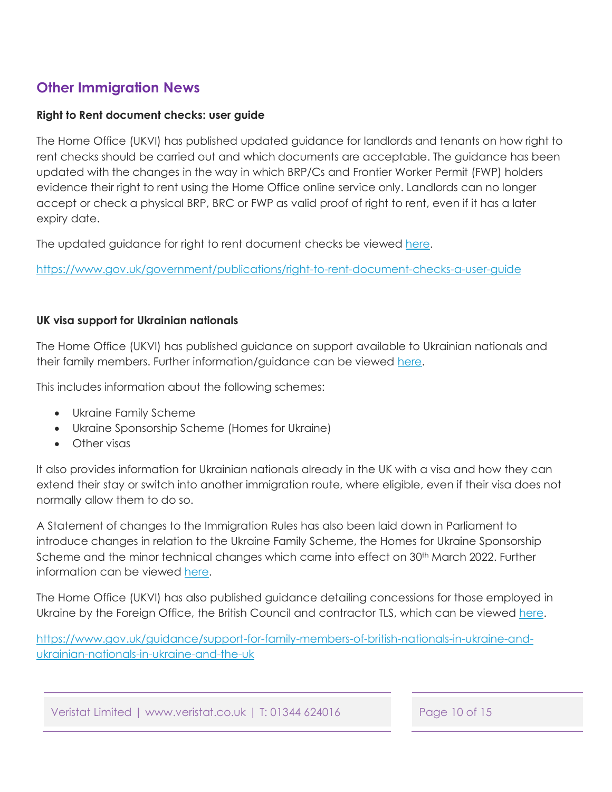# <span id="page-9-0"></span>**Other Immigration News**

#### **Right to Rent document checks: user guide**

The Home Office (UKVI) has published updated guidance for landlords and tenants on how right to rent checks should be carried out and which documents are acceptable. The guidance has been updated with the changes in the way in which BRP/Cs and Frontier Worker Permit (FWP) holders evidence their right to rent using the Home Office online service only. Landlords can no longer accept or check a physical BRP, BRC or FWP as valid proof of right to rent, even if it has a later expiry date.

The updated guidance for right to rent document checks be viewed [here.](https://www.gov.uk/government/publications/right-to-rent-document-checks-a-user-guide)

<https://www.gov.uk/government/publications/right-to-rent-document-checks-a-user-guide>

#### **UK visa support for Ukrainian nationals**

The Home Office (UKVI) has published guidance on support available to Ukrainian nationals and their family members. Further information/guidance can be viewed [here.](https://www.gov.uk/guidance/support-for-family-members-of-british-nationals-in-ukraine-and-ukrainian-nationals-in-ukraine-and-the-uk)

This includes information about the following schemes:

- Ukraine Family Scheme
- Ukraine Sponsorship Scheme (Homes for Ukraine)
- Other visas

It also provides information for Ukrainian nationals already in the UK with a visa and how they can extend their stay or switch into another immigration route, where eligible, even if their visa does not normally allow them to do so.

A Statement of changes to the Immigration Rules has also been laid down in Parliament to introduce changes in relation to the Ukraine Family Scheme, the Homes for Ukraine Sponsorship Scheme and the minor technical changes which came into effect on 30<sup>th</sup> March 2022. Further information can be viewed [here.](https://www.gov.uk/government/publications/statement-of-changes-to-the-immigration-rules-hc-1220-29-march-2022)

The Home Office (UKVI) has also published guidance detailing concessions for those employed in Ukraine by the Foreign Office, the British Council and contractor TLS, which can be viewed [here.](https://www.gov.uk/government/publications/visa-concessions-for-government-staff-in-ukraine-caseworker-guidance)

[https://www.gov.uk/guidance/support-for-family-members-of-british-nationals-in-ukraine-and](https://www.gov.uk/guidance/support-for-family-members-of-british-nationals-in-ukraine-and-ukrainian-nationals-in-ukraine-and-the-uk)ukrainian-nationals-in-ukraine-and-the-uk

Veristat Limited | www.veristat.co.uk | T: 01344 624016 Page 10 of 15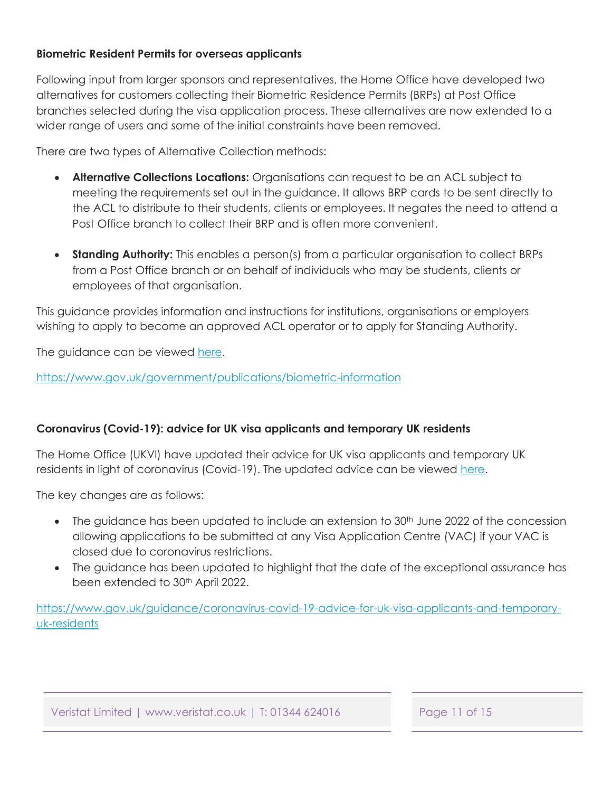#### <span id="page-10-0"></span>**Biometric Resident Permits for overseas applicants**

Following input from larger sponsors and representatives, the Home Office have developed two alternatives for customers collecting their Biometric Residence Permits (BRPs) at Post Office branches selected during the visa application process. These alternatives are now extended to a wider range of users and some of the initial constraints have been removed.

There are two types of Alternative Collection methods:

- **Alternative Collections Locations:** Organisations can request to be an ACL subject to meeting the requirements set out in the guidance. It allows BRP cards to be sent directly to the ACL to distribute to their students, clients or employees. It negates the need to attend a Post Office branch to collect their BRP and is often more convenient.
- **Standing Authority:** This enables a person(s) from a particular organisation to collect BRPs from a Post Office branch or on behalf of individuals who may be students, clients or employees of that organisation.

This guidance provides information and instructions for institutions, organisations or employers wishing to apply to become an approved ACL operator or to apply for Standing Authority.

The guidance can be viewed [here.](https://www.gov.uk/government/publications/biometric-information)

<https://www.gov.uk/government/publications/biometric-information>

### **Coronavirus (Covid-19): advice for UK visa applicants and temporary UK residents**

The Home Office (UKVI) have updated their advice for UK visa applicants and temporary UK residents in light of coronavirus (Covid-19). The updated advice can be viewed [here.](https://www.gov.uk/guidance/coronavirus-covid-19-advice-for-uk-visa-applicants-and-temporary-uk-residents)

The key changes are as follows:

- The guidance has been updated to include an extension to  $30<sup>th</sup>$  June 2022 of the concession allowing applications to be submitted at any Visa Application Centre (VAC) if your VAC is closed due to coronavirus restrictions.
- The guidance has been updated to highlight that the date of the exceptional assurance has been extended to 30<sup>th</sup> April 2022.

[https://www.gov.uk/guidance/coronavirus-covid-19-advice-for-uk-visa-applicants-and-temporary](https://www.gov.uk/guidance/coronavirus-covid-19-advice-for-uk-visa-applicants-and-temporary-uk-residents)uk-residents

Veristat Limited | www.veristat.co.uk | T: 01344 624016 Page 11 of 15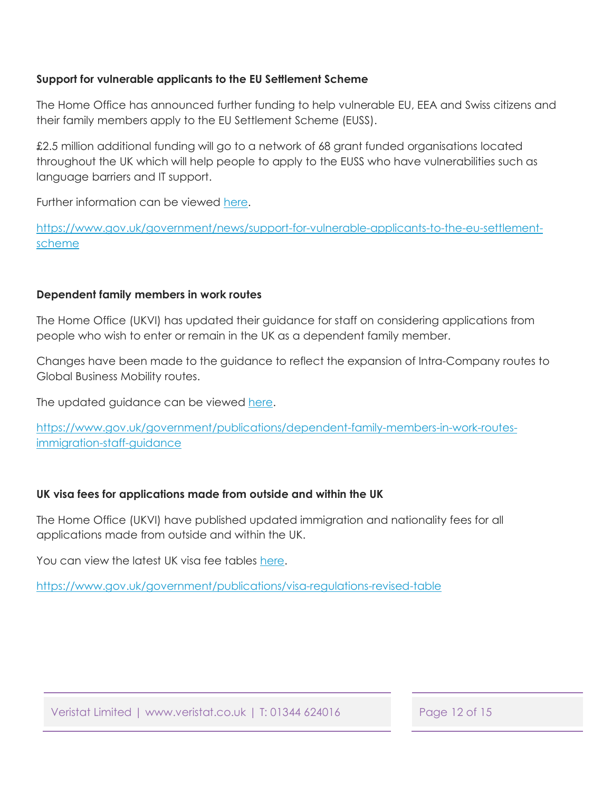#### **Support for vulnerable applicants to the EU Settlement Scheme**

The Home Office has announced further funding to help vulnerable EU, EEA and Swiss citizens and their family members apply to the EU Settlement Scheme (EUSS).

£2.5 million additional funding will go to a network of 68 grant funded organisations located throughout the UK which will help people to apply to the EUSS who have vulnerabilities such as language barriers and IT support.

Further information can be viewed [here.](https://www.gov.uk/government/news/support-for-vulnerable-applicants-to-the-eu-settlement-scheme) 

[https://www.gov.uk/government/news/support-for-vulnerable-applicants-to-the-eu-settlement](https://www.gov.uk/government/news/support-for-vulnerable-applicants-to-the-eu-settlement-scheme)scheme

### **Dependent family members in work routes**

The Home Office (UKVI) has updated their guidance for staff on considering applications from people who wish to enter or remain in the UK as a dependent family member.

Changes have been made to the guidance to reflect the expansion of Intra-Company routes to Global Business Mobility routes.

The updated guidance can be viewed [here.](https://www.gov.uk/government/publications/dependent-family-members-in-work-routes-immigration-staff-guidance) 

[https://www.gov.uk/government/publications/dependent-family-members-in-work-routes](https://www.gov.uk/government/publications/dependent-family-members-in-work-routes-immigration-staff-guidance)immigration-staff-guidance

### **UK visa fees for applications made from outside and within the UK**

The Home Office (UKVI) have published updated immigration and nationality fees for all applications made from outside and within the UK.

You can view the latest UK visa fee tables here.

<https://www.gov.uk/government/publications/visa-regulations-revised-table>

Veristat Limited | www.veristat.co.uk | T: 01344 624016 Page 12 of 15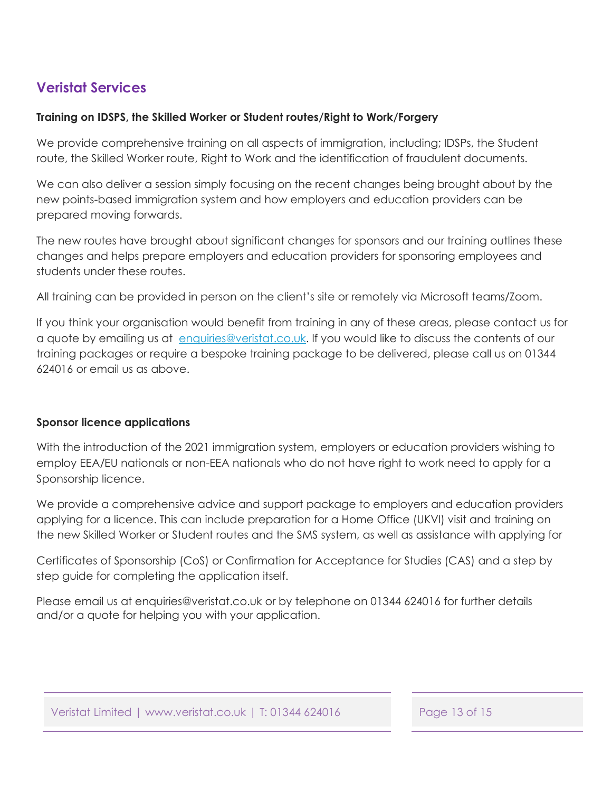# <span id="page-12-0"></span>**Veristat Services**

### **Training on IDSPS, the Skilled Worker or Student routes/Right to Work/Forgery**

We provide comprehensive training on all aspects of immigration, including; IDSPs, the Student route, the Skilled Worker route, Right to Work and the identification of fraudulent documents.

We can also deliver a session simply focusing on the recent changes being brought about by the new points-based immigration system and how employers and education providers can be prepared moving forwards.

The new routes have brought about significant changes for sponsors and our training outlines these changes and helps prepare employers and education providers for sponsoring employees and students under these routes.

All training can be provided in person on the client's site or remotely via Microsoft teams/Zoom.

If you think your organisation would benefit from training in any of these areas, please contact us for a quote by emailing us at enquiries@veristat.co.uk. If you would like to discuss the contents of our training packages or require a bespoke training package to be delivered, please call us on 01344 624016 or email us as above.

### **Sponsor licence applications**

With the introduction of the 2021 immigration system, employers or education providers wishing to employ EEA/EU nationals or non-EEA nationals who do not have right to work need to apply for a Sponsorship licence.

We provide a comprehensive advice and support package to employers and education providers applying for a licence. This can include preparation for a Home Office (UKVI) visit and training on the new Skilled Worker or Student routes and the SMS system, as well as assistance with applying for

Certificates of Sponsorship (CoS) or Confirmation for Acceptance for Studies (CAS) and a step by step guide for completing the application itself.

Please email us at enquiries@veristat.co.uk or by telephone on 01344 624016 for further details and/or a quote for helping you with your application.

Veristat Limited | www.veristat.co.uk | T: 01344 624016 Page 13 of 15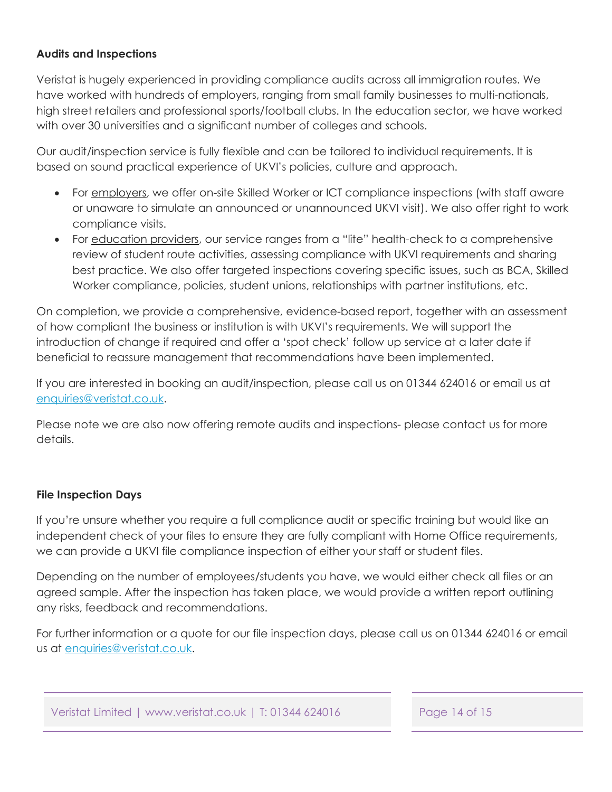#### <span id="page-13-0"></span>**Audits and Inspections**

Veristat is hugely experienced in providing compliance audits across all immigration routes. We have worked with hundreds of employers, ranging from small family businesses to multi-nationals, high street retailers and professional sports/football clubs. In the education sector, we have worked with over 30 universities and a significant number of colleges and schools.

Our audit/inspection service is fully flexible and can be tailored to individual requirements. It is based on sound practical experience of UKVI's policies, culture and approach.

- For employers, we offer on-site Skilled Worker or ICT compliance inspections (with staff aware or unaware to simulate an announced or unannounced UKVI visit). We also offer right to work compliance visits.
- For education providers, our service ranges from a "lite" health-check to a comprehensive review of student route activities, assessing compliance with UKVI requirements and sharing best practice. We also offer targeted inspections covering specific issues, such as BCA, Skilled Worker compliance, policies, student unions, relationships with partner institutions, etc.

On completion, we provide a comprehensive, evidence-based report, together with an assessment of how compliant the business or institution is with UKVI's requirements. We will support the introduction of change if required and offer a 'spot check' follow up service at a later date if beneficial to reassure management that recommendations have been implemented.

If you are interested in booking an audit/inspection, please call us on 01344 624016 or email us at enquiries@veristat.co.uk.

Please note we are also now offering remote audits and inspections- please contact us for more details.

### **File Inspection Days**

If you're unsure whether you require a full compliance audit or specific training but would like an independent check of your files to ensure they are fully compliant with Home Office requirements, we can provide a UKVI file compliance inspection of either your staff or student files.

Depending on the number of employees/students you have, we would either check all files or an agreed sample. After the inspection has taken place, we would provide a written report outlining any risks, feedback and recommendations.

For further information or a quote for our file inspection days, please call us on 01344 624016 or email us at enquiries@veristat.co.uk.

Veristat Limited | www.veristat.co.uk | T: 01344 624016 Page 14 of 15